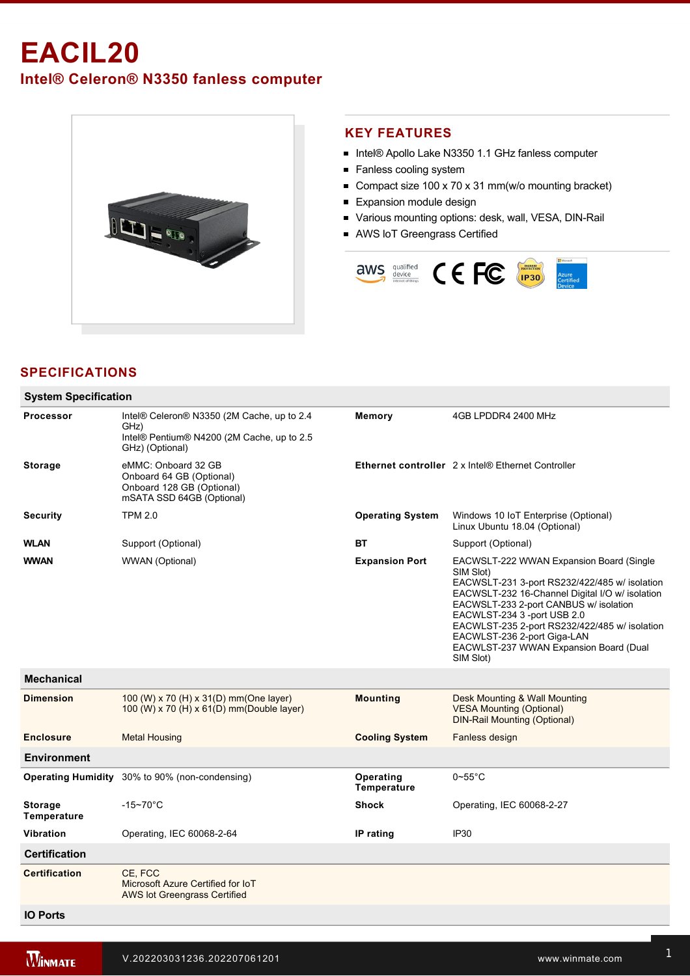# **EACIL20**

**Intel® Celeron® N3350 fanless computer**



#### **KEY FEATURES**

- Intel® Apollo Lake N3350 1.1 GHz fanless computer
- Fanless cooling system
- Compact size 100 x 70 x 31 mm(w/o mounting bracket)
- **Expansion module design**
- Various mounting options: desk, wall, VESA, DIN-Rail
- AWS IoT Greengrass Certified



## **SPECIFICATIONS**

| <b>System Specification</b>          |                                                                                                                     |                          |                                                                                                                                                                                                                                                                                                                                                                           |  |
|--------------------------------------|---------------------------------------------------------------------------------------------------------------------|--------------------------|---------------------------------------------------------------------------------------------------------------------------------------------------------------------------------------------------------------------------------------------------------------------------------------------------------------------------------------------------------------------------|--|
| <b>Processor</b>                     | Intel® Celeron® N3350 (2M Cache, up to 2.4<br>GHz)<br>Intel® Pentium® N4200 (2M Cache, up to 2.5<br>GHz) (Optional) | Memory                   | 4GB LPDDR4 2400 MHz                                                                                                                                                                                                                                                                                                                                                       |  |
| <b>Storage</b>                       | eMMC: Onboard 32 GB<br>Onboard 64 GB (Optional)<br>Onboard 128 GB (Optional)<br>mSATA SSD 64GB (Optional)           |                          | Ethernet controller 2 x Intel® Ethernet Controller                                                                                                                                                                                                                                                                                                                        |  |
| <b>Security</b>                      | <b>TPM 2.0</b>                                                                                                      | <b>Operating System</b>  | Windows 10 IoT Enterprise (Optional)<br>Linux Ubuntu 18.04 (Optional)                                                                                                                                                                                                                                                                                                     |  |
| <b>WLAN</b>                          | Support (Optional)                                                                                                  | ВT                       | Support (Optional)                                                                                                                                                                                                                                                                                                                                                        |  |
| <b>WWAN</b>                          | WWAN (Optional)                                                                                                     | <b>Expansion Port</b>    | EACWSLT-222 WWAN Expansion Board (Single<br>SIM Slot)<br>EACWSLT-231 3-port RS232/422/485 w/ isolation<br>EACWSLT-232 16-Channel Digital I/O w/ isolation<br>EACWSLT-233 2-port CANBUS w/ isolation<br>EACWLST-234 3 -port USB 2.0<br>EACWLST-235 2-port RS232/422/485 w/ isolation<br>EACWLST-236 2-port Giga-LAN<br>EACWLST-237 WWAN Expansion Board (Dual<br>SIM Slot) |  |
| <b>Mechanical</b>                    |                                                                                                                     |                          |                                                                                                                                                                                                                                                                                                                                                                           |  |
| <b>Dimension</b>                     | 100 (W) x 70 (H) x 31(D) mm(One layer)<br>100 (W) x 70 (H) x 61(D) mm(Double layer)                                 | <b>Mounting</b>          | Desk Mounting & Wall Mounting<br><b>VESA Mounting (Optional)</b><br><b>DIN-Rail Mounting (Optional)</b>                                                                                                                                                                                                                                                                   |  |
| <b>Enclosure</b>                     | <b>Metal Housing</b>                                                                                                | <b>Cooling System</b>    | Fanless design                                                                                                                                                                                                                                                                                                                                                            |  |
| <b>Environment</b>                   |                                                                                                                     |                          |                                                                                                                                                                                                                                                                                                                                                                           |  |
|                                      | <b>Operating Humidity</b> 30% to 90% (non-condensing)                                                               | Operating<br>Temperature | $0\nthickspace$ -55 $^{\circ}$ C                                                                                                                                                                                                                                                                                                                                          |  |
| <b>Storage</b><br><b>Temperature</b> | $-15 - 70^{\circ}$ C                                                                                                | <b>Shock</b>             | Operating, IEC 60068-2-27                                                                                                                                                                                                                                                                                                                                                 |  |
| <b>Vibration</b>                     | Operating, IEC 60068-2-64                                                                                           | IP rating                | IP <sub>30</sub>                                                                                                                                                                                                                                                                                                                                                          |  |
| <b>Certification</b>                 |                                                                                                                     |                          |                                                                                                                                                                                                                                                                                                                                                                           |  |
| <b>Certification</b>                 | CE, FCC<br>Microsoft Azure Certified for IoT<br><b>AWS lot Greengrass Certified</b>                                 |                          |                                                                                                                                                                                                                                                                                                                                                                           |  |
| <b>IO Ports</b>                      |                                                                                                                     |                          |                                                                                                                                                                                                                                                                                                                                                                           |  |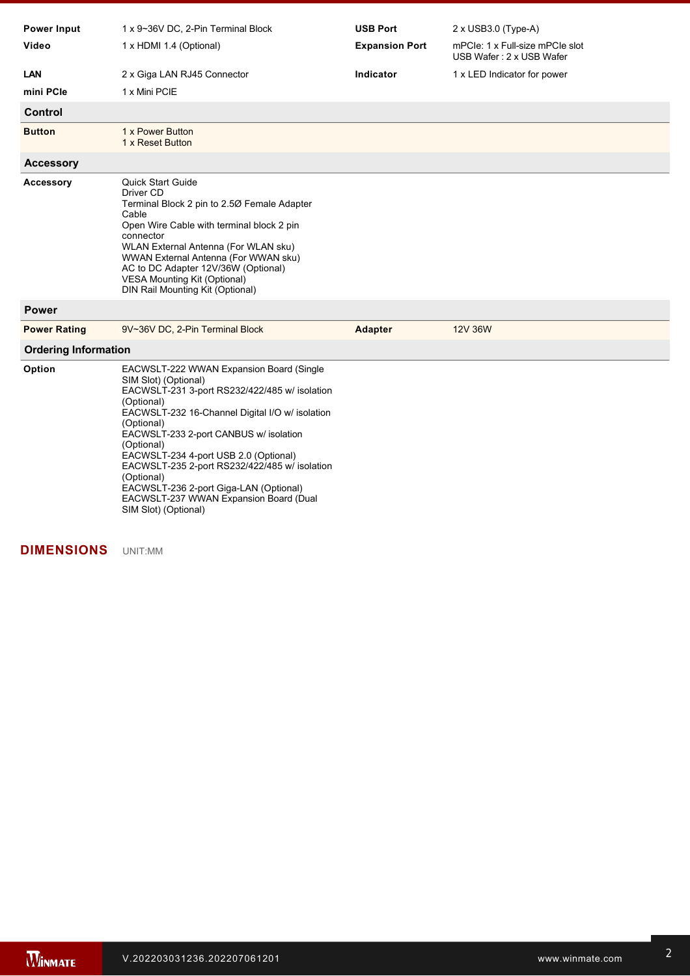| <b>Power Input</b>          | 1 x 9~36V DC, 2-Pin Terminal Block                                                                                                                                                                                                                                                                                                                                                                                                                                           | <b>USB Port</b>       | 2 x USB3.0 (Type-A)                                         |  |
|-----------------------------|------------------------------------------------------------------------------------------------------------------------------------------------------------------------------------------------------------------------------------------------------------------------------------------------------------------------------------------------------------------------------------------------------------------------------------------------------------------------------|-----------------------|-------------------------------------------------------------|--|
| Video                       | 1 x HDMI 1.4 (Optional)                                                                                                                                                                                                                                                                                                                                                                                                                                                      | <b>Expansion Port</b> | mPCle: 1 x Full-size mPCle slot<br>USB Wafer: 2 x USB Wafer |  |
| LAN                         | 2 x Giga LAN RJ45 Connector                                                                                                                                                                                                                                                                                                                                                                                                                                                  | Indicator             | 1 x LED Indicator for power                                 |  |
| mini PCIe                   | 1 x Mini PCIE                                                                                                                                                                                                                                                                                                                                                                                                                                                                |                       |                                                             |  |
| <b>Control</b>              |                                                                                                                                                                                                                                                                                                                                                                                                                                                                              |                       |                                                             |  |
| <b>Button</b>               | 1 x Power Button<br>1 x Reset Button                                                                                                                                                                                                                                                                                                                                                                                                                                         |                       |                                                             |  |
| <b>Accessory</b>            |                                                                                                                                                                                                                                                                                                                                                                                                                                                                              |                       |                                                             |  |
| <b>Accessory</b>            | <b>Quick Start Guide</b><br>Driver CD<br>Terminal Block 2 pin to 2.50 Female Adapter<br>Cable<br>Open Wire Cable with terminal block 2 pin<br>connector<br>WLAN External Antenna (For WLAN sku)<br>WWAN External Antenna (For WWAN sku)<br>AC to DC Adapter 12V/36W (Optional)<br><b>VESA Mounting Kit (Optional)</b><br>DIN Rail Mounting Kit (Optional)                                                                                                                    |                       |                                                             |  |
| <b>Power</b>                |                                                                                                                                                                                                                                                                                                                                                                                                                                                                              |                       |                                                             |  |
| <b>Power Rating</b>         | 9V~36V DC, 2-Pin Terminal Block                                                                                                                                                                                                                                                                                                                                                                                                                                              | <b>Adapter</b>        | 12V 36W                                                     |  |
| <b>Ordering Information</b> |                                                                                                                                                                                                                                                                                                                                                                                                                                                                              |                       |                                                             |  |
| Option                      | EACWSLT-222 WWAN Expansion Board (Single<br>SIM Slot) (Optional)<br>EACWSLT-231 3-port RS232/422/485 w/ isolation<br>(Optional)<br>EACWSLT-232 16-Channel Digital I/O w/ isolation<br>(Optional)<br>EACWSLT-233 2-port CANBUS w/ isolation<br>(Optional)<br>EACWSLT-234 4-port USB 2.0 (Optional)<br>EACWSLT-235 2-port RS232/422/485 w/ isolation<br>(Optional)<br>EACWSLT-236 2-port Giga-LAN (Optional)<br>EACWSLT-237 WWAN Expansion Board (Dual<br>SIM Slot) (Optional) |                       |                                                             |  |

#### **DIMENSIONS**  UNIT:MM